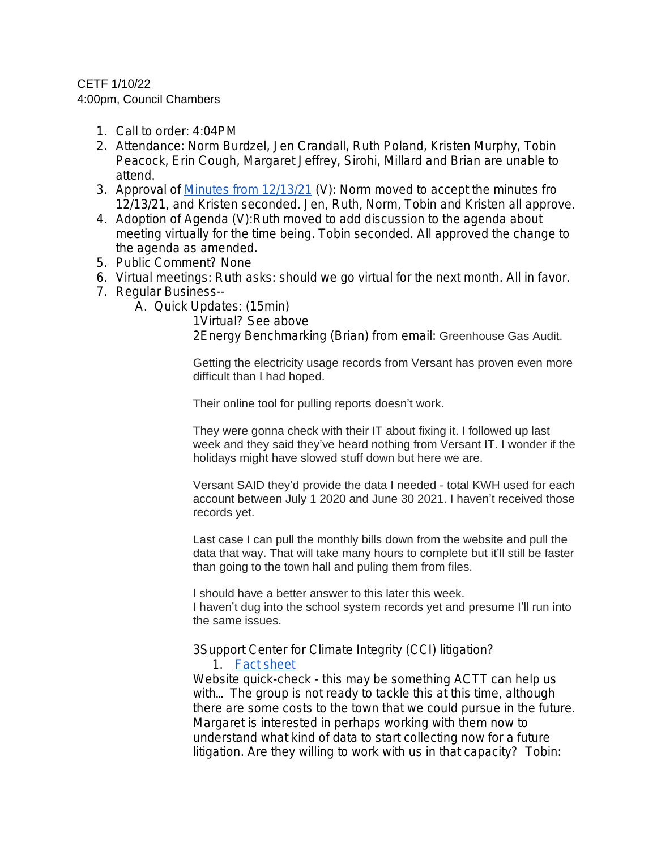## CETF 1/10/22

4:00pm, Council Chambers

- 1. Call to order: 4:04PM
- 2. Attendance: Norm Burdzel, Jen Crandall, Ruth Poland, Kristen Murphy, Tobin Peacock, Erin Cough, Margaret Jeffrey, Sirohi, Millard and Brian are unable to attend.
- 3. Approval of [Minutes from 12/13/21](https://docs.google.com/document/d/1Sh60KEG7skjLKyC3bKA4QRldLYkrF4I_Co-F_M2PoR4/edit) (V): Norm moved to accept the minutes fro 12/13/21, and Kristen seconded. Jen, Ruth, Norm, Tobin and Kristen all approve.
- 4. Adoption of Agenda (V):Ruth moved to add discussion to the agenda about meeting virtually for the time being. Tobin seconded. All approved the change to the agenda as amended.
- 5. Public Comment? None
- 6. Virtual meetings: Ruth asks: should we go virtual for the next month. All in favor.
- 7. Regular Business--
	- A. Quick Updates: (15min)

1Virtual? See above 2Energy Benchmarking (Brian) from email: Greenhouse Gas Audit.

Getting the electricity usage records from Versant has proven even more difficult than I had hoped.

Their online tool for pulling reports doesn't work.

They were gonna check with their IT about fixing it. I followed up last week and they said they've heard nothing from Versant IT. I wonder if the holidays might have slowed stuff down but here we are.

Versant SAID they'd provide the data I needed - total KWH used for each account between July 1 2020 and June 30 2021. I haven't received those records yet.

Last case I can pull the monthly bills down from the website and pull the data that way. That will take many hours to complete but it'll still be faster than going to the town hall and puling them from files.

I should have a better answer to this later this week. I haven't dug into the school system records yet and presume I'll run into the same issues.

3Support Center for Climate Integrity (CCI) litigation?

1. [Fact sheet](https://payupclimatepolluters.org/litigation-faq)

Website quick-check - this may be something ACTT can help us with… The group is not ready to tackle this at this time, although there are some costs to the town that we could pursue in the future. Margaret is interested in perhaps working with them now to understand what kind of data to start collecting now for a future litigation. Are they willing to work with us in that capacity? Tobin: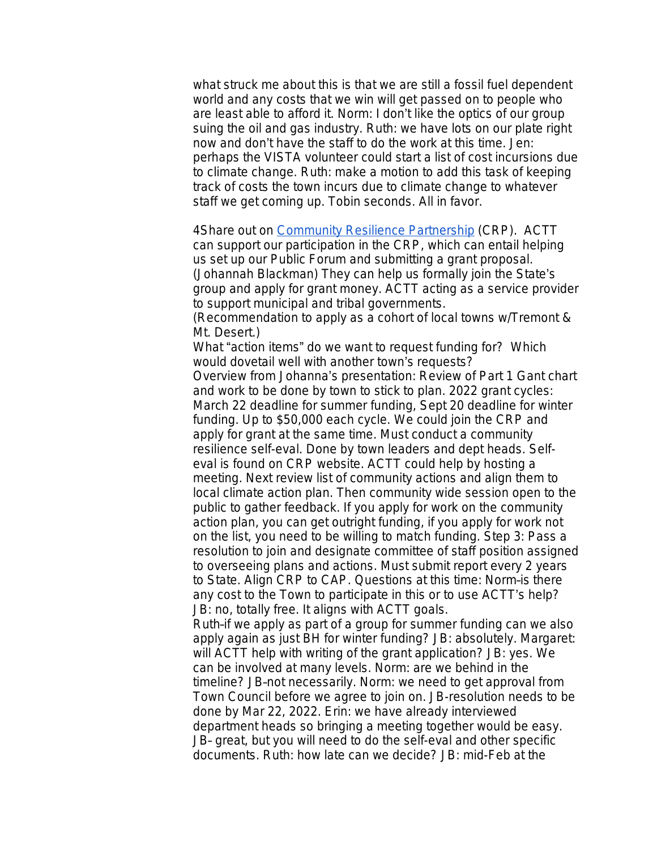what struck me about this is that we are still a fossil fuel dependent world and any costs that we win will get passed on to people who are least able to afford it. Norm: I don't like the optics of our group suing the oil and gas industry. Ruth: we have lots on our plate right now and don't have the staff to do the work at this time. Jen: perhaps the VISTA volunteer could start a list of cost incursions due to climate change. Ruth: make a motion to add this task of keeping track of costs the town incurs due to climate change to whatever staff we get coming up. Tobin seconds. All in favor.

4Share out on [Community Resilience Partnership](https://www.maine.gov/future/climate/community-resilience-partnership) (CRP). ACTT can support our participation in the CRP, which can entail helping us set up our Public Forum and submitting a grant proposal. (Johannah Blackman) They can help us formally join the State's group and apply for grant money. ACTT acting as a service provider to support municipal and tribal governments.

(Recommendation to apply as a cohort of local towns w/Tremont & Mt. Desert.)

What "action items" do we want to request funding for? Which would dovetail well with another town's requests?

Overview from Johanna's presentation: Review of Part 1 Gant chart and work to be done by town to stick to plan. 2022 grant cycles: March 22 deadline for summer funding, Sept 20 deadline for winter funding. Up to \$50,000 each cycle. We could join the CRP and apply for grant at the same time. Must conduct a community resilience self-eval. Done by town leaders and dept heads. Selfeval is found on CRP website. ACTT could help by hosting a meeting. Next review list of community actions and align them to local climate action plan. Then community wide session open to the public to gather feedback. If you apply for work on the community action plan, you can get outright funding, if you apply for work not on the list, you need to be willing to match funding. Step 3: Pass a resolution to join and designate committee of staff position assigned to overseeing plans and actions. Must submit report every 2 years to State. Align CRP to CAP. Questions at this time: Norm–is there any cost to the Town to participate in this or to use ACTT's help? JB: no, totally free. It aligns with ACTT goals.

Ruth–if we apply as part of a group for summer funding can we also apply again as just BH for winter funding? JB: absolutely. Margaret: will ACTT help with writing of the grant application? JB: yes. We can be involved at many levels. Norm: are we behind in the timeline? JB–not necessarily. Norm: we need to get approval from Town Council before we agree to join on. JB-resolution needs to be done by Mar 22, 2022. Erin: we have already interviewed department heads so bringing a meeting together would be easy. JB– great, but you will need to do the self-eval and other specific documents. Ruth: how late can we decide? JB: mid-Feb at the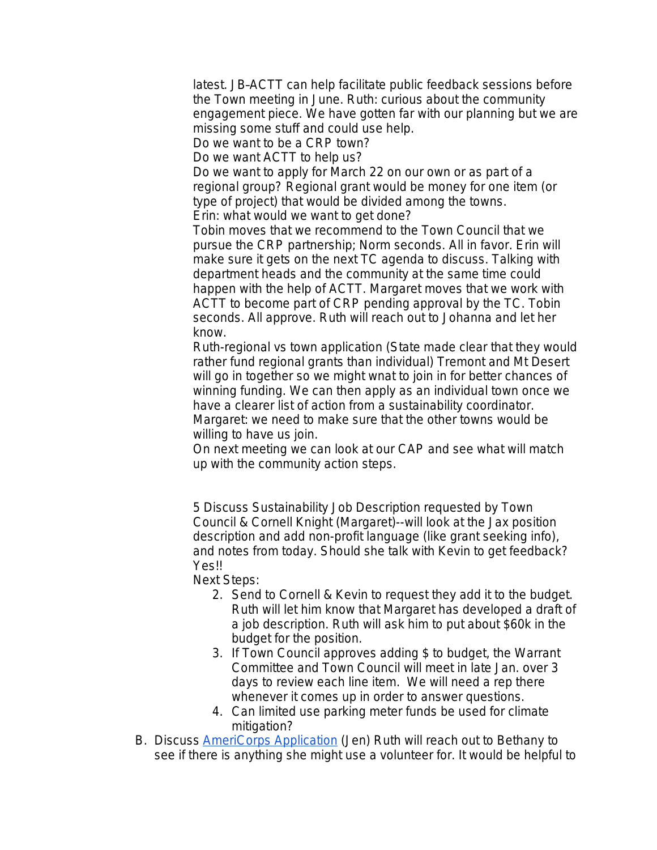latest. JB–ACTT can help facilitate public feedback sessions before the Town meeting in June. Ruth: curious about the community engagement piece. We have gotten far with our planning but we are missing some stuff and could use help.

Do we want to be a CRP town?

Do we want ACTT to help us?

Do we want to apply for March 22 on our own or as part of a regional group? Regional grant would be money for one item (or type of project) that would be divided among the towns. Erin: what would we want to get done?

Tobin moves that we recommend to the Town Council that we pursue the CRP partnership; Norm seconds. All in favor. Erin will make sure it gets on the next TC agenda to discuss. Talking with department heads and the community at the same time could happen with the help of ACTT. Margaret moves that we work with ACTT to become part of CRP pending approval by the TC. Tobin seconds. All approve. Ruth will reach out to Johanna and let her know.

Ruth-regional vs town application (State made clear that they would rather fund regional grants than individual) Tremont and Mt Desert will go in together so we might wnat to join in for better chances of winning funding. We can then apply as an individual town once we have a clearer list of action from a sustainability coordinator. Margaret: we need to make sure that the other towns would be willing to have us join.

On next meeting we can look at our CAP and see what will match up with the community action steps.

5 Discuss Sustainability Job Description requested by Town Council & Cornell Knight (Margaret)--will look at the Jax position description and add non-profit language (like grant seeking info), and notes from today. Should she talk with Kevin to get feedback? Yes!!

Next Steps:

- 2. Send to Cornell & Kevin to request they add it to the budget. Ruth will let him know that Margaret has developed a draft of a job description. Ruth will ask him to put about \$60k in the budget for the position.
- 3. If Town Council approves adding \$ to budget, the Warrant Committee and Town Council will meet in late Jan. over 3 days to review each line item. We will need a rep there whenever it comes up in order to answer questions.
- 4. Can limited use parking meter funds be used for climate mitigation?
- B. Discuss **AmeriCorps Application** (Jen) Ruth will reach out to Bethany to see if there is anything she might use a volunteer for. It would be helpful to